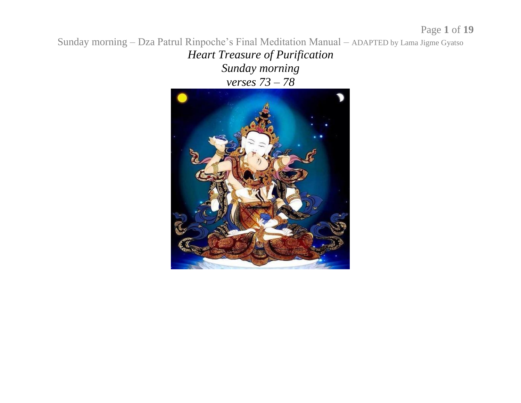*Heart Treasure of Purification Sunday morning verses 73 – 78*

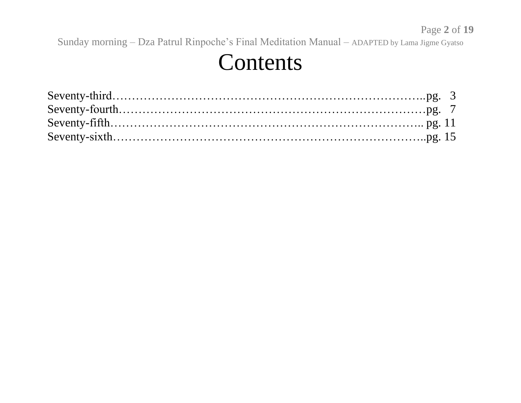#### Contents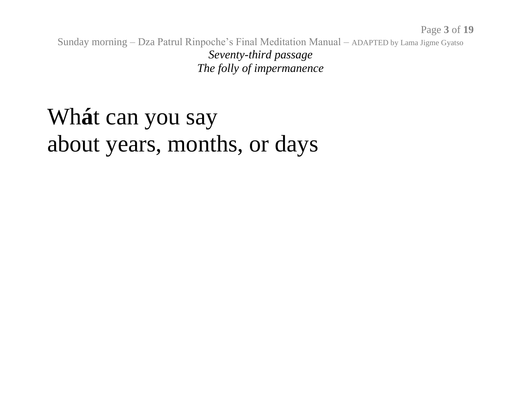Sunday morning – Dza Patrul Rinpoche's Final Meditation Manual – ADAPTED by Lama Jigme Gyatso *Seventy-third passage The folly of impermanence*

#### Wh**á**t can you say about years, months, or days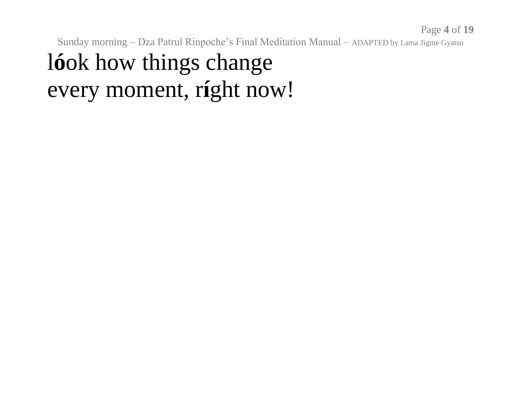#### l**ó**ok how things change every moment, r**í**ght now!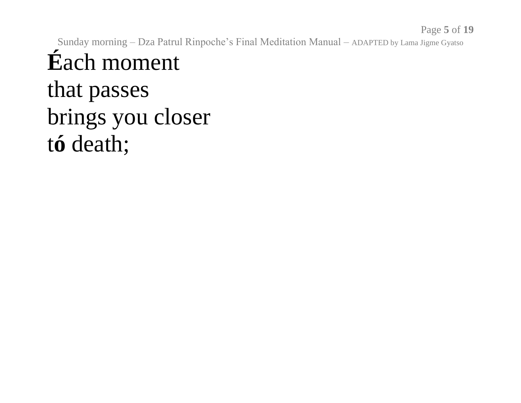# **É**ach moment

that passes brings you closer t**ó** death;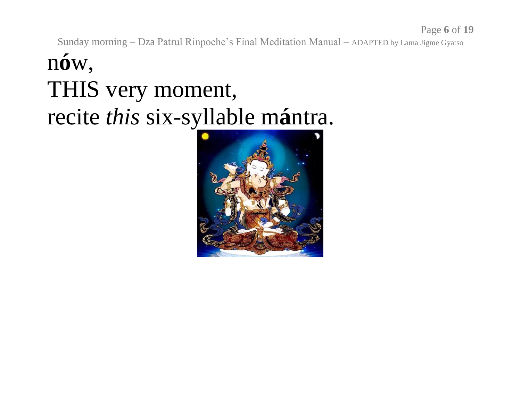#### n**ó**w, THIS very moment, recite *this* six-syllable m**á**ntra.

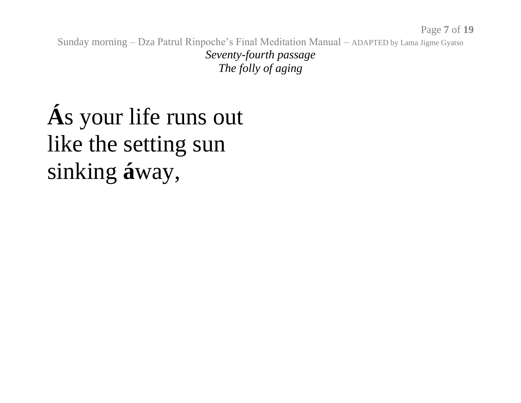Sunday morning – Dza Patrul Rinpoche's Final Meditation Manual – ADAPTED by Lama Jigme Gyatso *Seventy-fourth passage The folly of aging*

# **Á**s your life runs out like the setting sun sinking **á**way,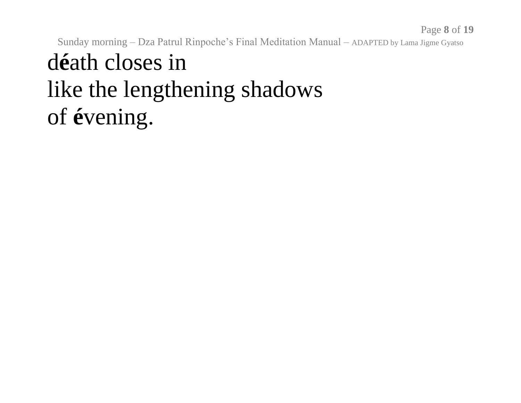Sunday morning – Dza Patrul Rinpoche's Final Meditation Manual – ADAPTED by Lama Jigme Gyatso d**é**ath closes in like the lengthening shadows of **é**vening.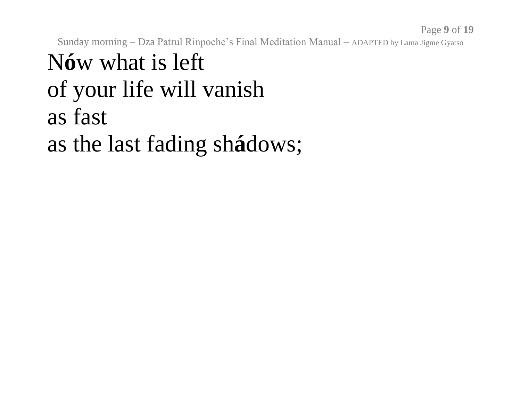# N**ó**w what is left of your life will vanish as fast as the last fading sh**á**dows;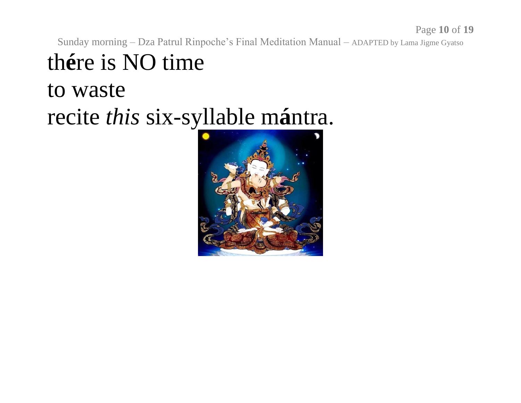Page **10** of **19**

Sunday morning – Dza Patrul Rinpoche's Final Meditation Manual – ADAPTED by Lama Jigme Gyatso

th**é**re is NO time to waste recite *this* six-syllable m**á**ntra.

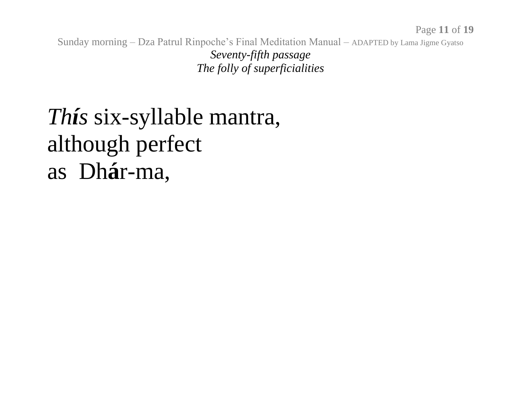Sunday morning – Dza Patrul Rinpoche's Final Meditation Manual – ADAPTED by Lama Jigme Gyatso *Seventy-fifth passage The folly of superficialities*

#### *Thís* six-syllable mantra, although perfect as Dh**á**r-ma,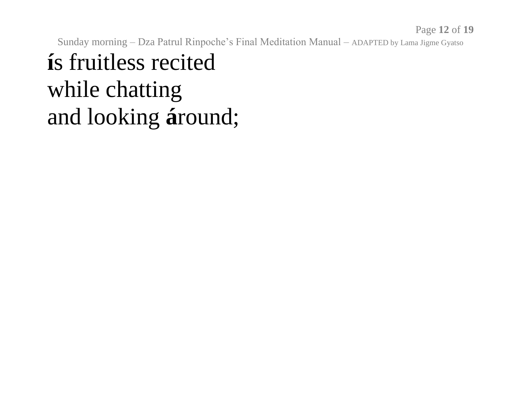# **í**s fruitless recited while chatting and looking **á**round;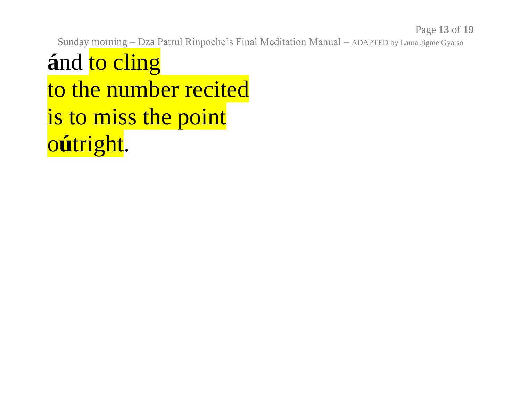and to cling to the number recited is to miss the point oútright.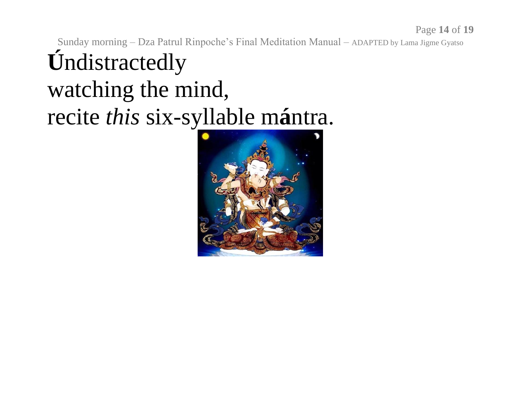Sunday morning – Dza Patrul Rinpoche's Final Meditation Manual – ADAPTED by Lama Jigme Gyatso **Ú**ndistractedly watching the mind, recite *this* six-syllable m**á**ntra.

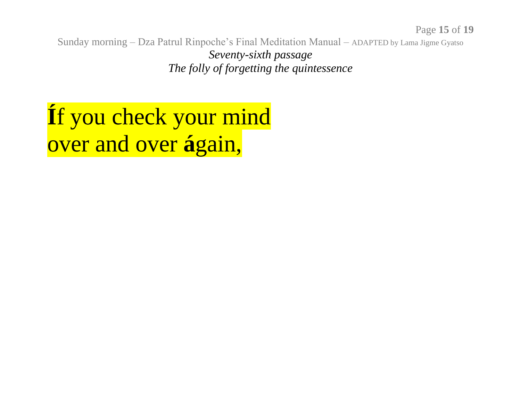Sunday morning – Dza Patrul Rinpoche's Final Meditation Manual – ADAPTED by Lama Jigme Gyatso *Seventy-sixth passage The folly of forgetting the quintessence*

# **Í**f you check your mind over and over **á**gain,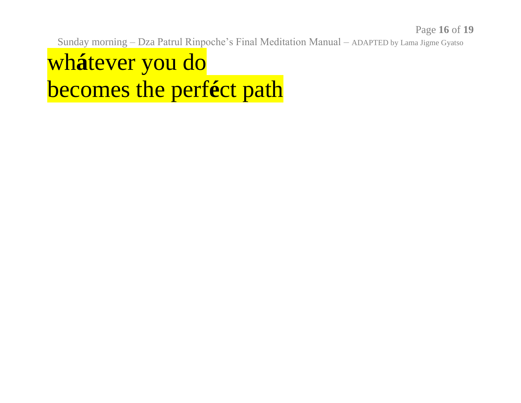#### whátever you do becomes the perféct path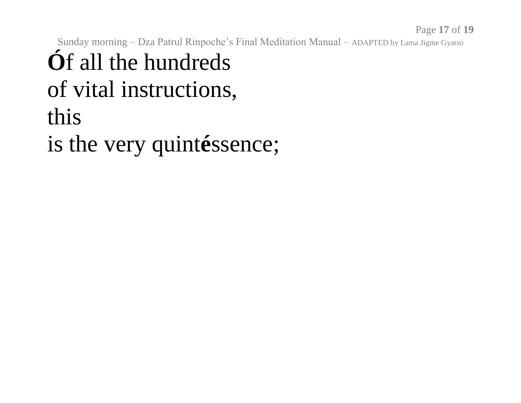#### Sunday morning - Dza Patrul Rinpoche's Final Meditation Manual - ADAPTED by Lama Jigme Gyatso **Óf** all the hundreds of vital instructions, this is the very quintéssence;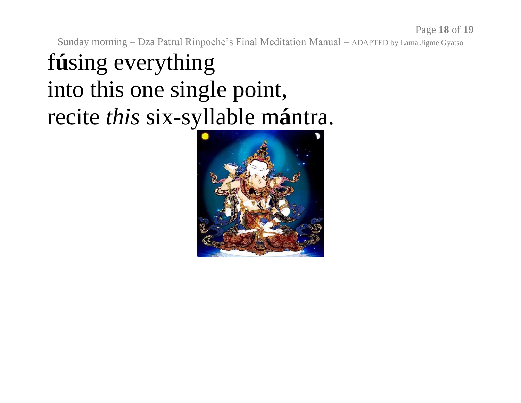# f**ú**sing everything into this one single point, recite *this* six-syllable m**á**ntra.